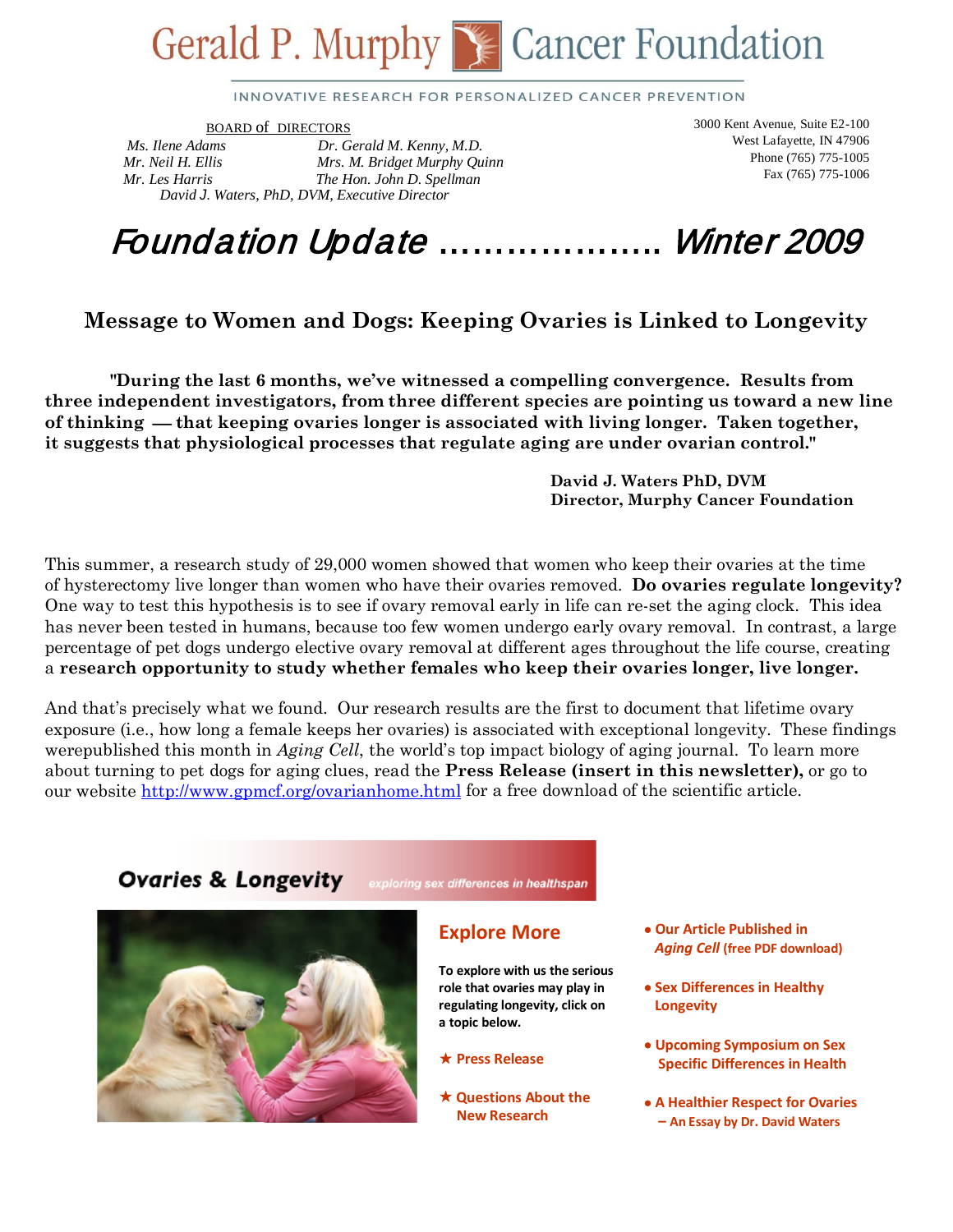# Gerald P. Murphy Secancer Foundation

INNOVATIVE RESEARCH FOR PERSONALIZED CANCER PREVENTION

BOARD of DIRECTORS

*Ms. Ilene Adams Dr. Gerald M. Kenny, M.D. Mr. Neil H. Ellis Mrs. M. Bridget Murphy Quinn Mr. Les Harris The Hon. John D. Spellman David J*. *Waters, PhD, DVM, Executive Director* 

3000 Kent Avenue, Suite E2-100 West Lafayette, IN 47906 Phone (765) 775-1005 Fax (765) 775-1006

# Foundation Update ……………….. Winter 2009

### **Message to Women and Dogs: Keeping Ovaries is Linked to Longevity**

 **"During the last 6 months, we've witnessed a compelling convergence. Results from three independent investigators, from three different species are pointing us toward a new line of thinking that keeping ovaries longer is associated with living longer. Taken together, it suggests that physiological processes that regulate aging are under ovarian control."**

> **David J. Waters PhD, DVM Director, Murphy Cancer Foundation**

This summer, a research study of 29,000 women showed that women who keep their ovaries at the time of hysterectomy live longer than women who have their ovaries removed. **Do ovaries regulate longevity?** One way to test this hypothesis is to see if ovary removal early in life can re-set the aging clock. This idea has never been tested in humans, because too few women undergo early ovary removal. In contrast, a large percentage of pet dogs undergo elective ovary removal at different ages throughout the life course, creating a **research opportunity to study whether females who keep their ovaries longer, live longer.**

And that's precisely what we found. Our research results are the first to document that lifetime ovary exposure (i.e., how long a female keeps her ovaries) is associated with exceptional longevity. These findings werepublished this month in *Aging Cell*, the world's top impact biology of aging journal. To learn more about turning to pet dogs for aging clues, read the **Press Release (insert in this newsletter),** or go to our website http://www.gpmcf.org/ovarianhome.html for a free download of the scientific article.

#### **Ovaries & Longevity** exploring sex differences in healthspan



#### **Explore More**

**To explore with us the serious role that ovaries may play in regulating longevity, click on a topic below.**

#### **Press Release**

 **Questions About the New Research**

- **Our Article Published in** *Aging Cell* **(free PDF download)**
- **Sex Differences in Healthy Longevity**
- **Upcoming Symposium on Sex Specific Differences in Health**
- **A Healthier Respect for Ovaries – An Essay by Dr. David Waters**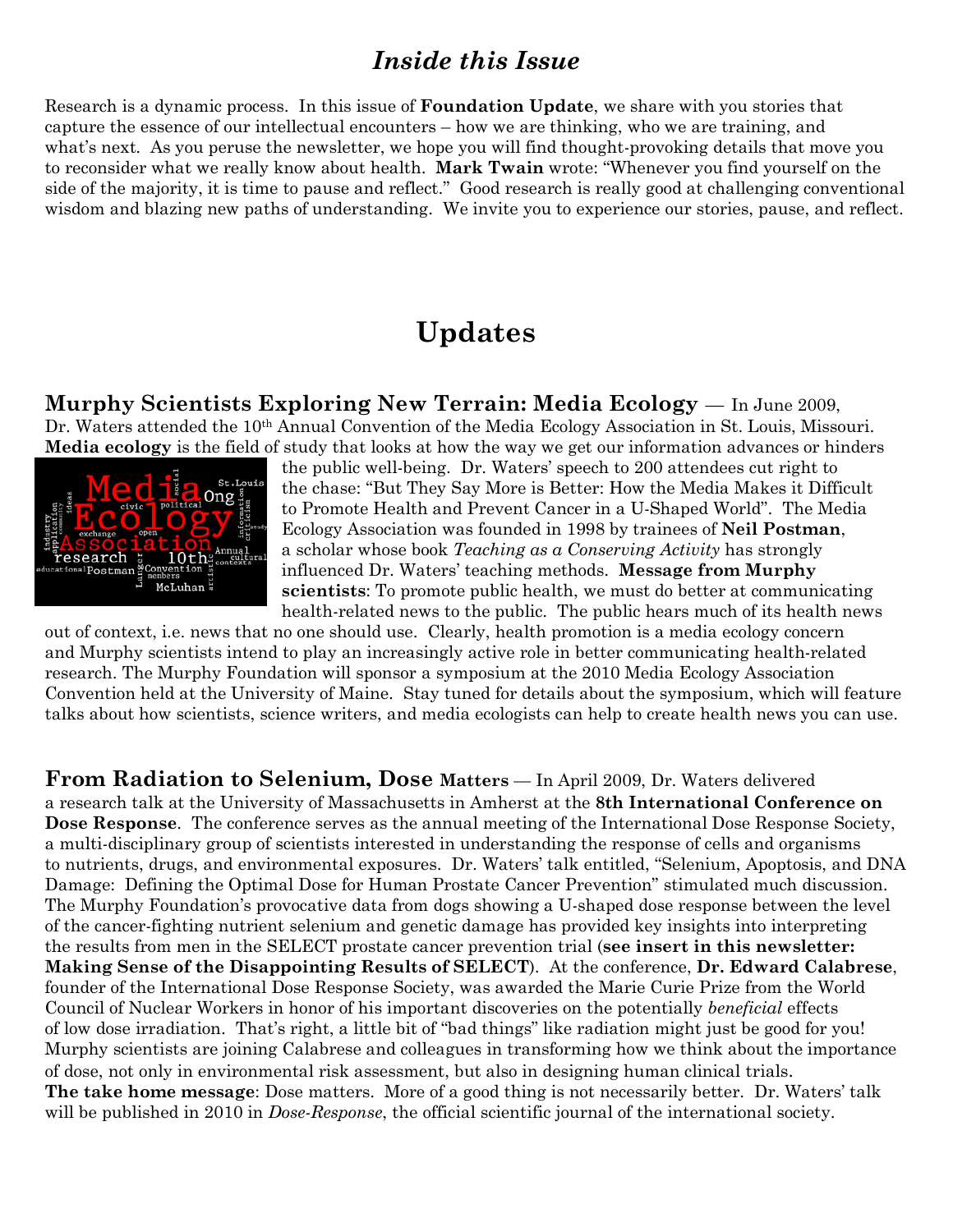### *Inside this Issue*

Research is a dynamic process. In this issue of **Foundation Update**, we share with you stories that capture the essence of our intellectual encounters – how we are thinking, who we are training, and what's next. As you peruse the newsletter, we hope you will find thought-provoking details that move you to reconsider what we really know about health. **Mark Twain** wrote: "Whenever you find yourself on the side of the majority, it is time to pause and reflect." Good research is really good at challenging conventional wisdom and blazing new paths of understanding. We invite you to experience our stories, pause, and reflect.

### **Updates**

**Murphy Scientists Exploring New Terrain: Media Ecology** — In June 2009, Dr. Waters attended the 10<sup>th</sup> Annual Convention of the Media Ecology Association in St. Louis, Missouri. **Media ecology** is the field of study that looks at how the way we get our information advances or hinders



the public well-being. Dr. Waters' speech to 200 attendees cut right to the chase: "But They Say More is Better: How the Media Makes it Difficult to Promote Health and Prevent Cancer in a U-Shaped World". The Media Ecology Association was founded in 1998 by trainees of **Neil Postman**, a scholar whose book *Teaching as a Conserving Activity* has strongly influenced Dr. Waters' teaching methods. **Message from Murphy scientists**: To promote public health, we must do better at communicating health-related news to the public. The public hears much of its health news

out of context, i.e. news that no one should use. Clearly, health promotion is a media ecology concern and Murphy scientists intend to play an increasingly active role in better communicating health-related research. The Murphy Foundation will sponsor a symposium at the 2010 Media Ecology Association Convention held at the University of Maine. Stay tuned for details about the symposium, which will feature talks about how scientists, science writers, and media ecologists can help to create health news you can use.

**From Radiation to Selenium, Dose Matters** — In April 2009, Dr. Waters delivered a research talk at the University of Massachusetts in Amherst at the **8th International Conference on Dose Response**. The conference serves as the annual meeting of the International Dose Response Society, a multi-disciplinary group of scientists interested in understanding the response of cells and organisms to nutrients, drugs, and environmental exposures. Dr. Waters' talk entitled, "Selenium, Apoptosis, and DNA Damage: Defining the Optimal Dose for Human Prostate Cancer Prevention" stimulated much discussion. The Murphy Foundation's provocative data from dogs showing a U-shaped dose response between the level of the cancer-fighting nutrient selenium and genetic damage has provided key insights into interpreting the results from men in the SELECT prostate cancer prevention trial (**see insert in this newsletter: Making Sense of the Disappointing Results of SELECT**). At the conference, **Dr. Edward Calabrese**, founder of the International Dose Response Society, was awarded the Marie Curie Prize from the World Council of Nuclear Workers in honor of his important discoveries on the potentially *beneficial* effects of low dose irradiation. That's right, a little bit of "bad things" like radiation might just be good for you! Murphy scientists are joining Calabrese and colleagues in transforming how we think about the importance of dose, not only in environmental risk assessment, but also in designing human clinical trials. **The take home message**: Dose matters. More of a good thing is not necessarily better. Dr. Waters' talk will be published in 2010 in *Dose-Response*, the official scientific journal of the international society.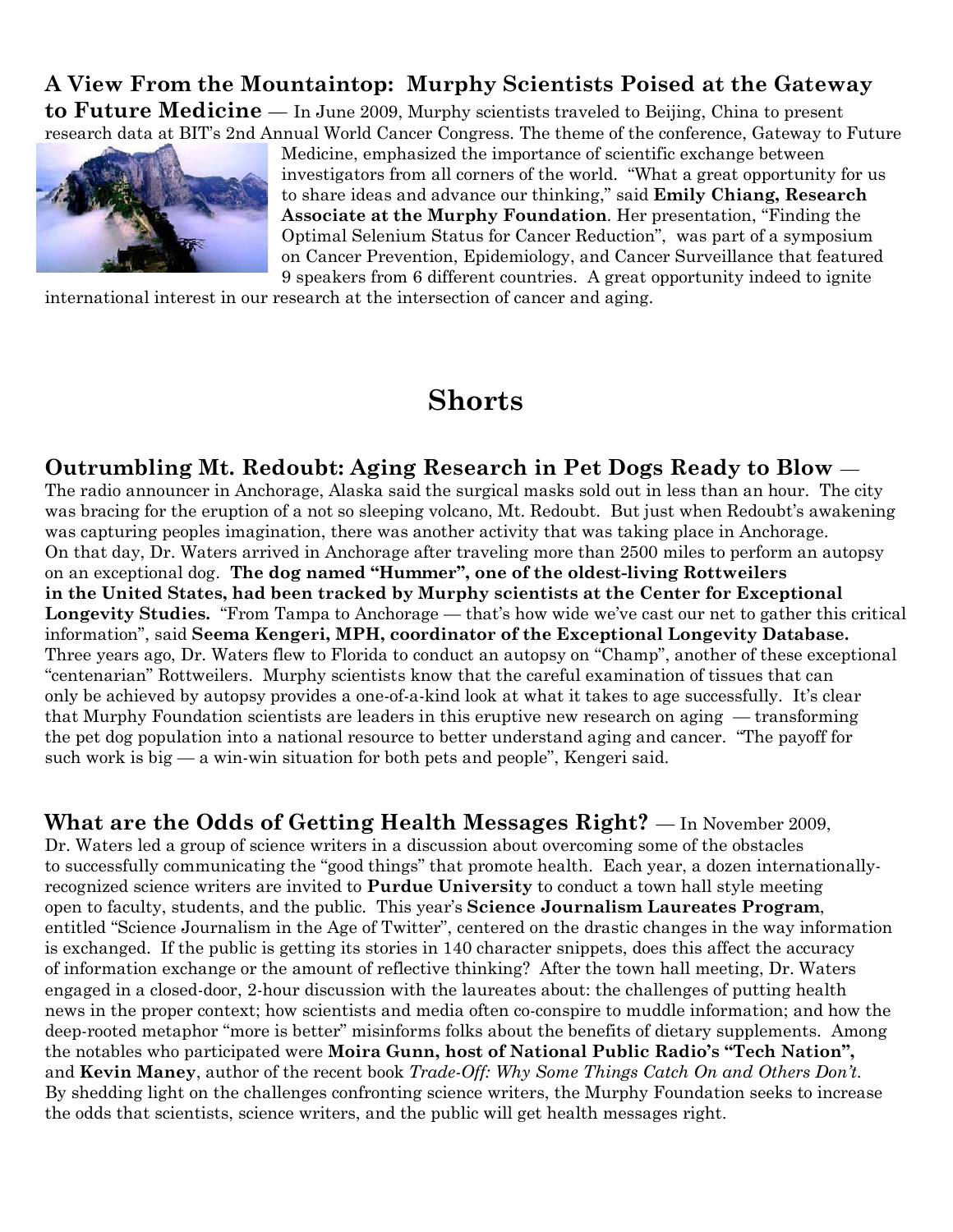# **A View From the Mountaintop: Murphy Scientists Poised at the Gateway**

**to Future Medicine** — In June 2009, Murphy scientists traveled to Beijing, China to present research data at BIT's 2nd Annual World Cancer Congress. The theme of the conference, Gateway to Future



Medicine, emphasized the importance of scientific exchange between investigators from all corners of the world. "What a great opportunity for us to share ideas and advance our thinking," said **Emily Chiang, Research Associate at the Murphy Foundation**. Her presentation, "Finding the Optimal Selenium Status for Cancer Reduction", was part of a symposium on Cancer Prevention, Epidemiology, and Cancer Surveillance that featured 9 speakers from 6 different countries. A great opportunity indeed to ignite

international interest in our research at the intersection of cancer and aging.

# **Shorts**

**Outrumbling Mt. Redoubt: Aging Research in Pet Dogs Ready to Blow** — The radio announcer in Anchorage, Alaska said the surgical masks sold out in less than an hour. The city was bracing for the eruption of a not so sleeping volcano, Mt. Redoubt. But just when Redoubt's awakening was capturing peoples imagination, there was another activity that was taking place in Anchorage. On that day, Dr. Waters arrived in Anchorage after traveling more than 2500 miles to perform an autopsy on an exceptional dog. **The dog named "Hummer", one of the oldest-living Rottweilers in the United States, had been tracked by Murphy scientists at the Center for Exceptional Longevity Studies.** "From Tampa to Anchorage — that's how wide we've cast our net to gather this critical information", said **Seema Kengeri, MPH, coordinator of the Exceptional Longevity Database.** Three years ago, Dr. Waters flew to Florida to conduct an autopsy on "Champ", another of these exceptional "centenarian" Rottweilers. Murphy scientists know that the careful examination of tissues that can only be achieved by autopsy provides a one-of-a-kind look at what it takes to age successfully. It's clear that Murphy Foundation scientists are leaders in this eruptive new research on aging — transforming the pet dog population into a national resource to better understand aging and cancer. "The payoff for such work is big  $-$  a win-win situation for both pets and people", Kengeri said.

**What are the Odds of Getting Health Messages Right?** — In November 2009, Dr. Waters led a group of science writers in a discussion about overcoming some of the obstacles to successfully communicating the "good things" that promote health. Each year, a dozen internationallyrecognized science writers are invited to **Purdue University** to conduct a town hall style meeting open to faculty, students, and the public. This year's **Science Journalism Laureates Program**, entitled "Science Journalism in the Age of Twitter", centered on the drastic changes in the way information is exchanged. If the public is getting its stories in 140 character snippets, does this affect the accuracy of information exchange or the amount of reflective thinking? After the town hall meeting, Dr. Waters engaged in a closed-door, 2-hour discussion with the laureates about: the challenges of putting health news in the proper context; how scientists and media often co-conspire to muddle information; and how the deep-rooted metaphor "more is better" misinforms folks about the benefits of dietary supplements. Among the notables who participated were **Moira Gunn, host of National Public Radio's "Tech Nation",** and **Kevin Maney**, author of the recent book *Trade-Off: Why Some Things Catch On and Others Don't*. By shedding light on the challenges confronting science writers, the Murphy Foundation seeks to increase the odds that scientists, science writers, and the public will get health messages right.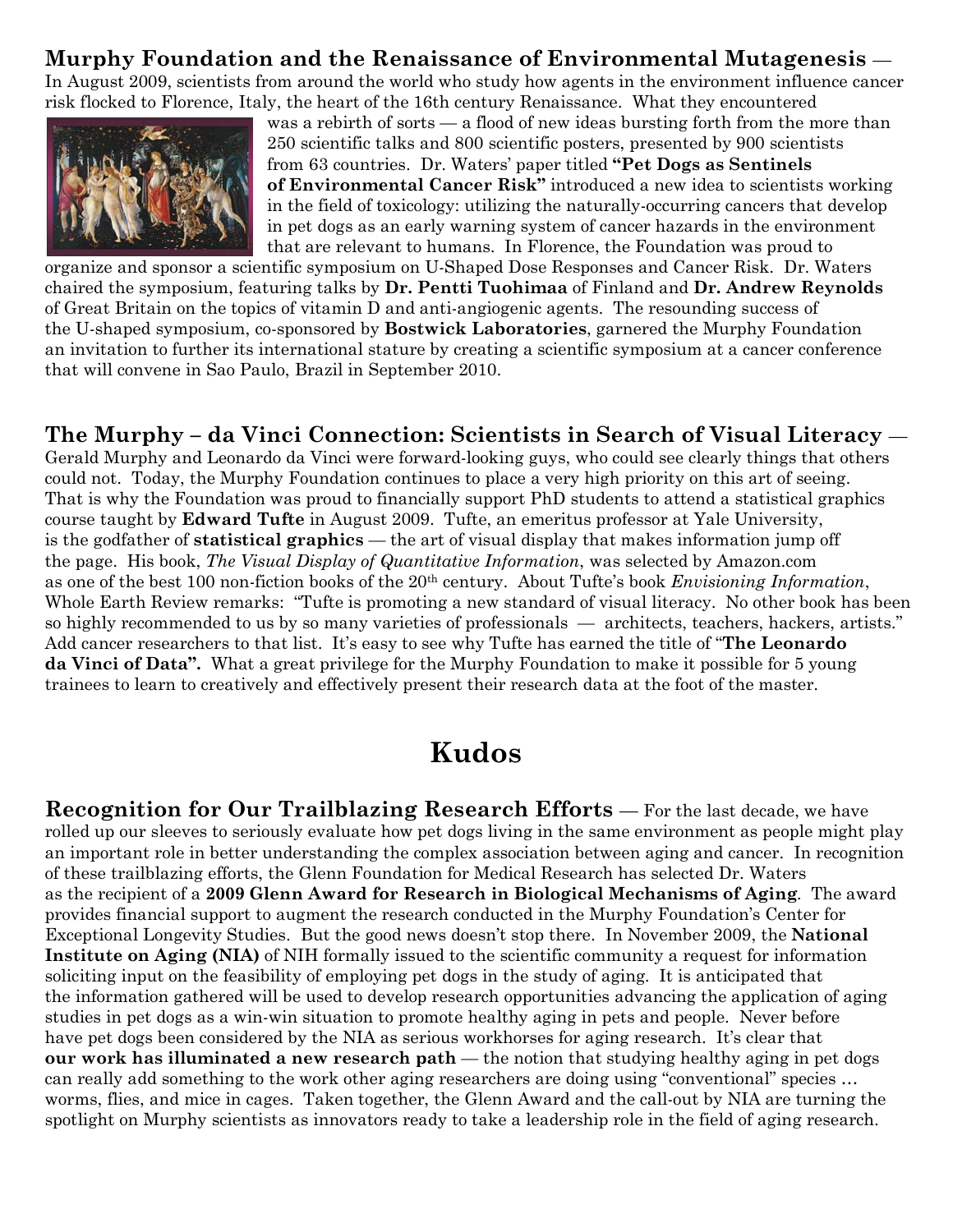### **Murphy Foundation and the Renaissance of Environmental Mutagenesis** —

In August 2009, scientists from around the world who study how agents in the environment influence cancer risk flocked to Florence, Italy, the heart of the 16th century Renaissance. What they encountered



was a rebirth of sorts — a flood of new ideas bursting forth from the more than 250 scientific talks and 800 scientific posters, presented by 900 scientists from 63 countries. Dr. Waters' paper titled **"Pet Dogs as Sentinels of Environmental Cancer Risk"** introduced a new idea to scientists working in the field of toxicology: utilizing the naturally-occurring cancers that develop in pet dogs as an early warning system of cancer hazards in the environment that are relevant to humans. In Florence, the Foundation was proud to

organize and sponsor a scientific symposium on U-Shaped Dose Responses and Cancer Risk. Dr. Waters chaired the symposium, featuring talks by **Dr. Pentti Tuohimaa** of Finland and **Dr. Andrew Reynolds** of Great Britain on the topics of vitamin D and anti-angiogenic agents. The resounding success of the U-shaped symposium, co-sponsored by **Bostwick Laboratories**, garnered the Murphy Foundation an invitation to further its international stature by creating a scientific symposium at a cancer conference that will convene in Sao Paulo, Brazil in September 2010.

### **The Murphy – da Vinci Connection: Scientists in Search of Visual Literacy** —

Gerald Murphy and Leonardo da Vinci were forward-looking guys, who could see clearly things that others could not. Today, the Murphy Foundation continues to place a very high priority on this art of seeing. That is why the Foundation was proud to financially support PhD students to attend a statistical graphics course taught by **Edward Tufte** in August 2009. Tufte, an emeritus professor at Yale University, is the godfather of **statistical graphics** — the art of visual display that makes information jump off the page. His book, *The Visual Display of Quantitative Information*, was selected by Amazon.com as one of the best 100 non-fiction books of the 20th century. About Tufte's book *Envisioning Information*, Whole Earth Review remarks: "Tufte is promoting a new standard of visual literacy. No other book has been so highly recommended to us by so many varieties of professionals — architects, teachers, hackers, artists." Add cancer researchers to that list. It's easy to see why Tufte has earned the title of "**The Leonardo da Vinci of Data".** What a great privilege for the Murphy Foundation to make it possible for 5 young trainees to learn to creatively and effectively present their research data at the foot of the master.

# **Kudos**

**Recognition for Our Trailblazing Research Efforts** — For the last decade, we have rolled up our sleeves to seriously evaluate how pet dogs living in the same environment as people might play an important role in better understanding the complex association between aging and cancer. In recognition of these trailblazing efforts, the Glenn Foundation for Medical Research has selected Dr. Waters as the recipient of a **2009 Glenn Award for Research in Biological Mechanisms of Aging**. The award provides financial support to augment the research conducted in the Murphy Foundation's Center for Exceptional Longevity Studies. But the good news doesn't stop there. In November 2009, the **National Institute on Aging (NIA)** of NIH formally issued to the scientific community a request for information soliciting input on the feasibility of employing pet dogs in the study of aging. It is anticipated that the information gathered will be used to develop research opportunities advancing the application of aging studies in pet dogs as a win-win situation to promote healthy aging in pets and people. Never before have pet dogs been considered by the NIA as serious workhorses for aging research. It's clear that **our work has illuminated a new research path** — the notion that studying healthy aging in pet dogs can really add something to the work other aging researchers are doing using "conventional" species … worms, flies, and mice in cages. Taken together, the Glenn Award and the call-out by NIA are turning the spotlight on Murphy scientists as innovators ready to take a leadership role in the field of aging research.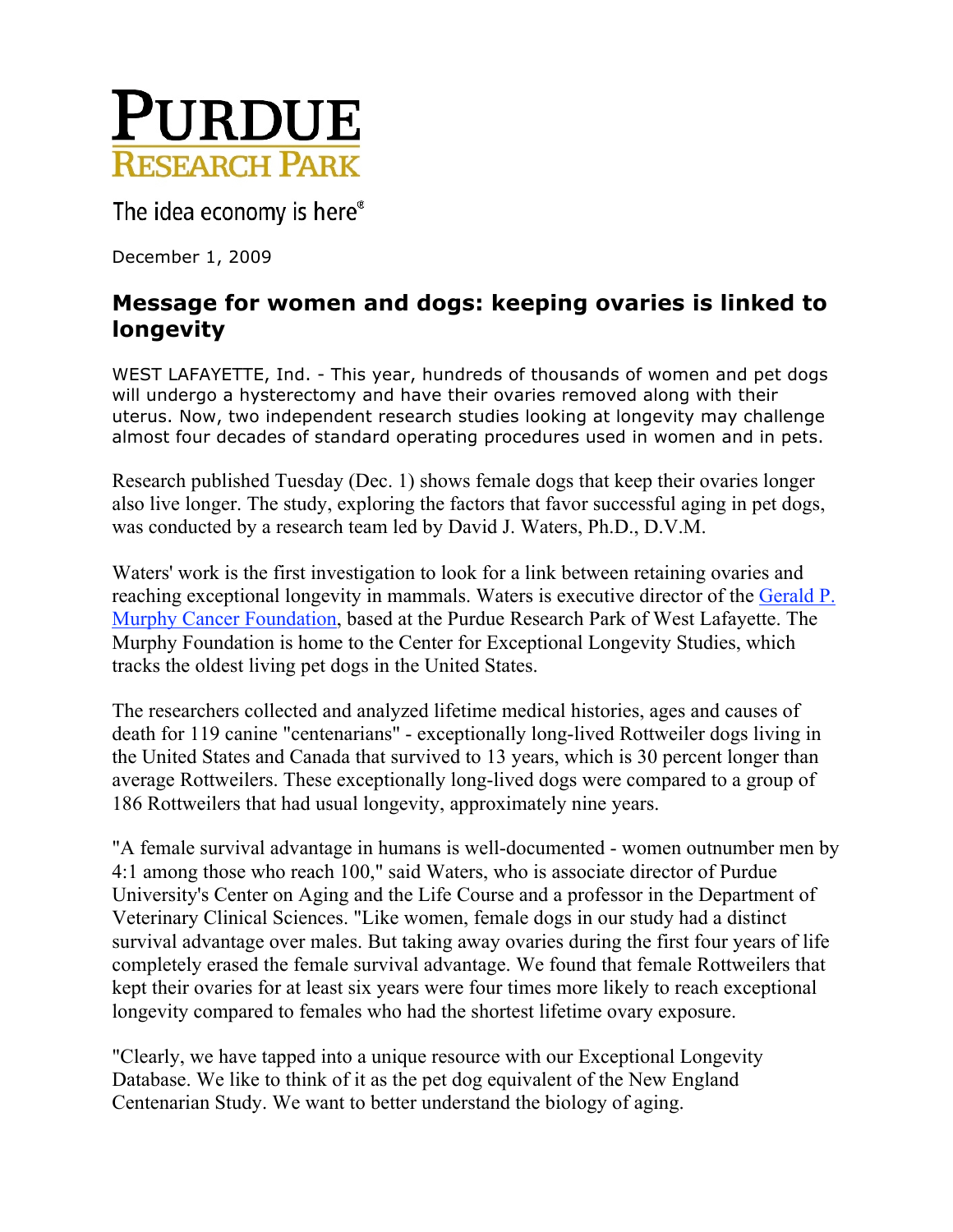

The idea economy is here®

December 1, 2009

### **Message for women and dogs: keeping ovaries is linked to longevity**

WEST LAFAYETTE, Ind. - This year, hundreds of thousands of women and pet dogs will undergo a hysterectomy and have their ovaries removed along with their uterus. Now, two independent research studies looking at longevity may challenge almost four decades of standard operating procedures used in women and in pets.

Research published Tuesday (Dec. 1) shows female dogs that keep their ovaries longer also live longer. The study, exploring the factors that favor successful aging in pet dogs, was conducted by a research team led by David J. Waters, Ph.D., D.V.M.

Waters' work is the first investigation to look for a link between retaining ovaries and reaching exceptional longevity in mammals. Waters is executive director of the Gerald P. Murphy Cancer Foundation, based at the Purdue Research Park of West Lafayette. The Murphy Foundation is home to the Center for Exceptional Longevity Studies, which tracks the oldest living pet dogs in the United States.

The researchers collected and analyzed lifetime medical histories, ages and causes of death for 119 canine "centenarians" - exceptionally long-lived Rottweiler dogs living in the United States and Canada that survived to 13 years, which is 30 percent longer than average Rottweilers. These exceptionally long-lived dogs were compared to a group of 186 Rottweilers that had usual longevity, approximately nine years.

"A female survival advantage in humans is well-documented - women outnumber men by 4:1 among those who reach 100," said Waters, who is associate director of Purdue University's Center on Aging and the Life Course and a professor in the Department of Veterinary Clinical Sciences. "Like women, female dogs in our study had a distinct survival advantage over males. But taking away ovaries during the first four years of life completely erased the female survival advantage. We found that female Rottweilers that kept their ovaries for at least six years were four times more likely to reach exceptional longevity compared to females who had the shortest lifetime ovary exposure.

"Clearly, we have tapped into a unique resource with our Exceptional Longevity Database. We like to think of it as the pet dog equivalent of the New England Centenarian Study. We want to better understand the biology of aging.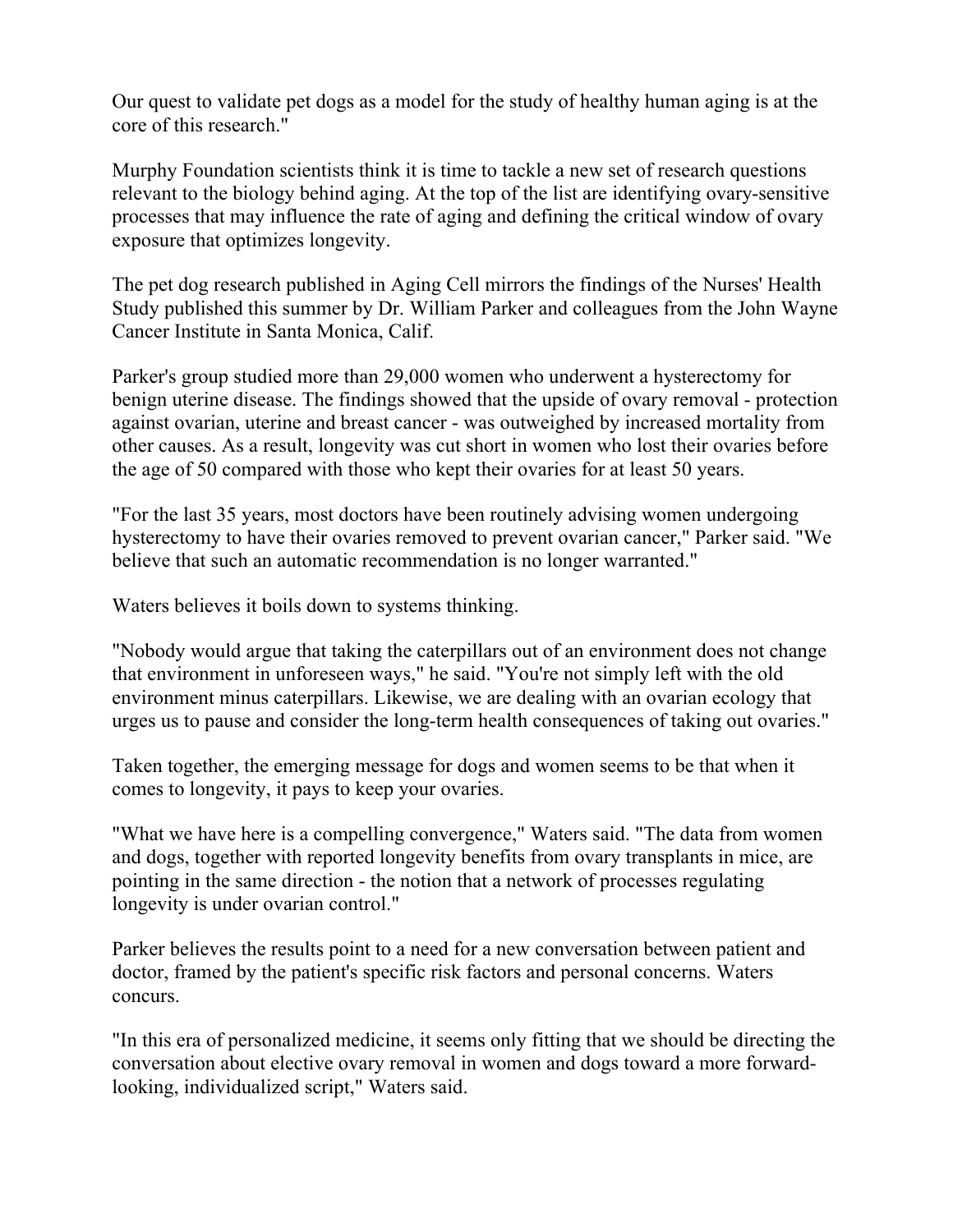Our quest to validate pet dogs as a model for the study of healthy human aging is at the core of this research."

Murphy Foundation scientists think it is time to tackle a new set of research questions relevant to the biology behind aging. At the top of the list are identifying ovary-sensitive processes that may influence the rate of aging and defining the critical window of ovary exposure that optimizes longevity.

The pet dog research published in Aging Cell mirrors the findings of the Nurses' Health Study published this summer by Dr. William Parker and colleagues from the John Wayne Cancer Institute in Santa Monica, Calif.

Parker's group studied more than 29,000 women who underwent a hysterectomy for benign uterine disease. The findings showed that the upside of ovary removal - protection against ovarian, uterine and breast cancer - was outweighed by increased mortality from other causes. As a result, longevity was cut short in women who lost their ovaries before the age of 50 compared with those who kept their ovaries for at least 50 years.

"For the last 35 years, most doctors have been routinely advising women undergoing hysterectomy to have their ovaries removed to prevent ovarian cancer," Parker said. "We believe that such an automatic recommendation is no longer warranted."

Waters believes it boils down to systems thinking.

"Nobody would argue that taking the caterpillars out of an environment does not change that environment in unforeseen ways," he said. "You're not simply left with the old environment minus caterpillars. Likewise, we are dealing with an ovarian ecology that urges us to pause and consider the long-term health consequences of taking out ovaries."

Taken together, the emerging message for dogs and women seems to be that when it comes to longevity, it pays to keep your ovaries.

"What we have here is a compelling convergence," Waters said. "The data from women and dogs, together with reported longevity benefits from ovary transplants in mice, are pointing in the same direction - the notion that a network of processes regulating longevity is under ovarian control."

Parker believes the results point to a need for a new conversation between patient and doctor, framed by the patient's specific risk factors and personal concerns. Waters concurs.

"In this era of personalized medicine, it seems only fitting that we should be directing the conversation about elective ovary removal in women and dogs toward a more forwardlooking, individualized script," Waters said.